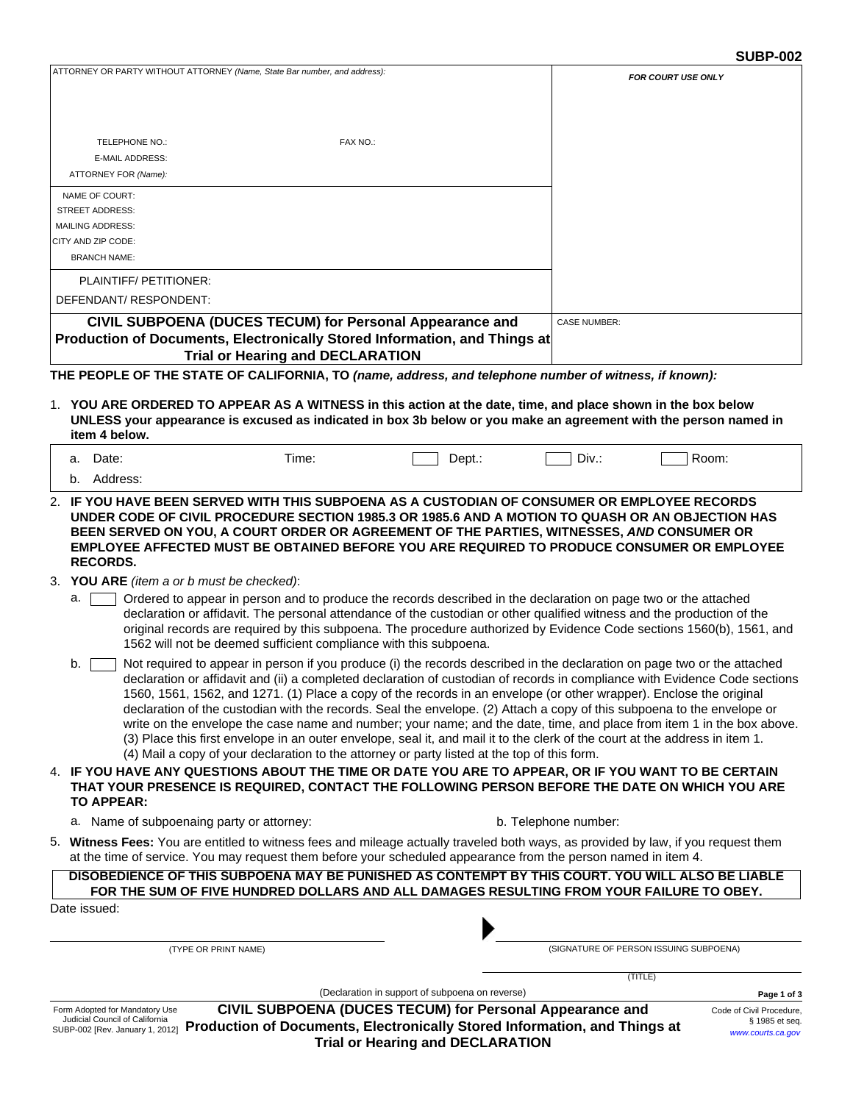|                                                                                                                                                                                                                                                                                                                                                                                                                                                                                                                                                                                                                                                                                                                                                                                                                                                                           |                                                 |                      | <b>SUBP-002</b>                        |
|---------------------------------------------------------------------------------------------------------------------------------------------------------------------------------------------------------------------------------------------------------------------------------------------------------------------------------------------------------------------------------------------------------------------------------------------------------------------------------------------------------------------------------------------------------------------------------------------------------------------------------------------------------------------------------------------------------------------------------------------------------------------------------------------------------------------------------------------------------------------------|-------------------------------------------------|----------------------|----------------------------------------|
| ATTORNEY OR PARTY WITHOUT ATTORNEY (Name, State Bar number, and address):                                                                                                                                                                                                                                                                                                                                                                                                                                                                                                                                                                                                                                                                                                                                                                                                 |                                                 |                      | <b>FOR COURT USE ONLY</b>              |
|                                                                                                                                                                                                                                                                                                                                                                                                                                                                                                                                                                                                                                                                                                                                                                                                                                                                           |                                                 |                      |                                        |
|                                                                                                                                                                                                                                                                                                                                                                                                                                                                                                                                                                                                                                                                                                                                                                                                                                                                           |                                                 |                      |                                        |
| FAX NO.:<br>TELEPHONE NO.:                                                                                                                                                                                                                                                                                                                                                                                                                                                                                                                                                                                                                                                                                                                                                                                                                                                |                                                 |                      |                                        |
| E-MAIL ADDRESS:                                                                                                                                                                                                                                                                                                                                                                                                                                                                                                                                                                                                                                                                                                                                                                                                                                                           |                                                 |                      |                                        |
| ATTORNEY FOR (Name):                                                                                                                                                                                                                                                                                                                                                                                                                                                                                                                                                                                                                                                                                                                                                                                                                                                      |                                                 |                      |                                        |
| NAME OF COURT:<br><b>STREET ADDRESS:</b>                                                                                                                                                                                                                                                                                                                                                                                                                                                                                                                                                                                                                                                                                                                                                                                                                                  |                                                 |                      |                                        |
| <b>MAILING ADDRESS:</b>                                                                                                                                                                                                                                                                                                                                                                                                                                                                                                                                                                                                                                                                                                                                                                                                                                                   |                                                 |                      |                                        |
| CITY AND ZIP CODE:                                                                                                                                                                                                                                                                                                                                                                                                                                                                                                                                                                                                                                                                                                                                                                                                                                                        |                                                 |                      |                                        |
| <b>BRANCH NAME:</b>                                                                                                                                                                                                                                                                                                                                                                                                                                                                                                                                                                                                                                                                                                                                                                                                                                                       |                                                 |                      |                                        |
| PLAINTIFF/PETITIONER:                                                                                                                                                                                                                                                                                                                                                                                                                                                                                                                                                                                                                                                                                                                                                                                                                                                     |                                                 |                      |                                        |
| DEFENDANT/RESPONDENT:                                                                                                                                                                                                                                                                                                                                                                                                                                                                                                                                                                                                                                                                                                                                                                                                                                                     |                                                 |                      |                                        |
| CIVIL SUBPOENA (DUCES TECUM) for Personal Appearance and                                                                                                                                                                                                                                                                                                                                                                                                                                                                                                                                                                                                                                                                                                                                                                                                                  |                                                 | <b>CASE NUMBER:</b>  |                                        |
| Production of Documents, Electronically Stored Information, and Things at                                                                                                                                                                                                                                                                                                                                                                                                                                                                                                                                                                                                                                                                                                                                                                                                 |                                                 |                      |                                        |
| <b>Trial or Hearing and DECLARATION</b>                                                                                                                                                                                                                                                                                                                                                                                                                                                                                                                                                                                                                                                                                                                                                                                                                                   |                                                 |                      |                                        |
| THE PEOPLE OF THE STATE OF CALIFORNIA, TO (name, address, and telephone number of witness, if known):                                                                                                                                                                                                                                                                                                                                                                                                                                                                                                                                                                                                                                                                                                                                                                     |                                                 |                      |                                        |
| 1. YOU ARE ORDERED TO APPEAR AS A WITNESS in this action at the date, time, and place shown in the box below                                                                                                                                                                                                                                                                                                                                                                                                                                                                                                                                                                                                                                                                                                                                                              |                                                 |                      |                                        |
| UNLESS your appearance is excused as indicated in box 3b below or you make an agreement with the person named in                                                                                                                                                                                                                                                                                                                                                                                                                                                                                                                                                                                                                                                                                                                                                          |                                                 |                      |                                        |
| item 4 below.                                                                                                                                                                                                                                                                                                                                                                                                                                                                                                                                                                                                                                                                                                                                                                                                                                                             |                                                 |                      |                                        |
| a. Date:<br>Time:                                                                                                                                                                                                                                                                                                                                                                                                                                                                                                                                                                                                                                                                                                                                                                                                                                                         | $Dept.$ :                                       | Div.:                | Room:                                  |
| b. Address:                                                                                                                                                                                                                                                                                                                                                                                                                                                                                                                                                                                                                                                                                                                                                                                                                                                               |                                                 |                      |                                        |
| 2. IF YOU HAVE BEEN SERVED WITH THIS SUBPOENA AS A CUSTODIAN OF CONSUMER OR EMPLOYEE RECORDS                                                                                                                                                                                                                                                                                                                                                                                                                                                                                                                                                                                                                                                                                                                                                                              |                                                 |                      |                                        |
| UNDER CODE OF CIVIL PROCEDURE SECTION 1985.3 OR 1985.6 AND A MOTION TO QUASH OR AN OBJECTION HAS<br>BEEN SERVED ON YOU, A COURT ORDER OR AGREEMENT OF THE PARTIES, WITNESSES, AND CONSUMER OR<br>EMPLOYEE AFFECTED MUST BE OBTAINED BEFORE YOU ARE REQUIRED TO PRODUCE CONSUMER OR EMPLOYEE<br><b>RECORDS.</b>                                                                                                                                                                                                                                                                                                                                                                                                                                                                                                                                                            |                                                 |                      |                                        |
| 3. YOU ARE (item a or b must be checked):                                                                                                                                                                                                                                                                                                                                                                                                                                                                                                                                                                                                                                                                                                                                                                                                                                 |                                                 |                      |                                        |
| Ordered to appear in person and to produce the records described in the declaration on page two or the attached<br>a.<br>declaration or affidavit. The personal attendance of the custodian or other qualified witness and the production of the<br>original records are required by this subpoena. The procedure authorized by Evidence Code sections 1560(b), 1561, and<br>1562 will not be deemed sufficient compliance with this subpoena.                                                                                                                                                                                                                                                                                                                                                                                                                            |                                                 |                      |                                        |
| Not required to appear in person if you produce (i) the records described in the declaration on page two or the attached<br>b.<br>declaration or affidavit and (ii) a completed declaration of custodian of records in compliance with Evidence Code sections<br>1560, 1561, 1562, and 1271. (1) Place a copy of the records in an envelope (or other wrapper). Enclose the original<br>declaration of the custodian with the records. Seal the envelope. (2) Attach a copy of this subpoena to the envelope or<br>write on the envelope the case name and number; your name; and the date, time, and place from item 1 in the box above.<br>(3) Place this first envelope in an outer envelope, seal it, and mail it to the clerk of the court at the address in item 1.<br>(4) Mail a copy of your declaration to the attorney or party listed at the top of this form. |                                                 |                      |                                        |
| 4. IF YOU HAVE ANY QUESTIONS ABOUT THE TIME OR DATE YOU ARE TO APPEAR, OR IF YOU WANT TO BE CERTAIN<br>THAT YOUR PRESENCE IS REQUIRED, CONTACT THE FOLLOWING PERSON BEFORE THE DATE ON WHICH YOU ARE<br>TO APPEAR:                                                                                                                                                                                                                                                                                                                                                                                                                                                                                                                                                                                                                                                        |                                                 |                      |                                        |
| a. Name of subpoenaing party or attorney:                                                                                                                                                                                                                                                                                                                                                                                                                                                                                                                                                                                                                                                                                                                                                                                                                                 |                                                 | b. Telephone number: |                                        |
| 5. Witness Fees: You are entitled to witness fees and mileage actually traveled both ways, as provided by law, if you request them<br>at the time of service. You may request them before your scheduled appearance from the person named in item 4.                                                                                                                                                                                                                                                                                                                                                                                                                                                                                                                                                                                                                      |                                                 |                      |                                        |
| DISOBEDIENCE OF THIS SUBPOENA MAY BE PUNISHED AS CONTEMPT BY THIS COURT. YOU WILL ALSO BE LIABLE<br>FOR THE SUM OF FIVE HUNDRED DOLLARS AND ALL DAMAGES RESULTING FROM YOUR FAILURE TO OBEY.                                                                                                                                                                                                                                                                                                                                                                                                                                                                                                                                                                                                                                                                              |                                                 |                      |                                        |
| Date issued:                                                                                                                                                                                                                                                                                                                                                                                                                                                                                                                                                                                                                                                                                                                                                                                                                                                              |                                                 |                      |                                        |
|                                                                                                                                                                                                                                                                                                                                                                                                                                                                                                                                                                                                                                                                                                                                                                                                                                                                           |                                                 |                      |                                        |
| (TYPE OR PRINT NAME)                                                                                                                                                                                                                                                                                                                                                                                                                                                                                                                                                                                                                                                                                                                                                                                                                                                      |                                                 |                      | (SIGNATURE OF PERSON ISSUING SUBPOENA) |
|                                                                                                                                                                                                                                                                                                                                                                                                                                                                                                                                                                                                                                                                                                                                                                                                                                                                           |                                                 |                      | (TITLE)                                |
|                                                                                                                                                                                                                                                                                                                                                                                                                                                                                                                                                                                                                                                                                                                                                                                                                                                                           | (Declaration in support of subpoena on reverse) |                      | Page 1 of 3                            |

Form Adopted for Mandatory Use Judicial Council of California SUBP-002 [Rev. January 1, 2012] **CIVIL SUBPOENA (DUCES TECUM) for Personal Appearance and Production of Documents, Electronically Stored Information, and Things at Trial or Hearing and DECLARATION**

Code of Civil Procedure, § 1985 et seq. *<www.courts.ca.gov>*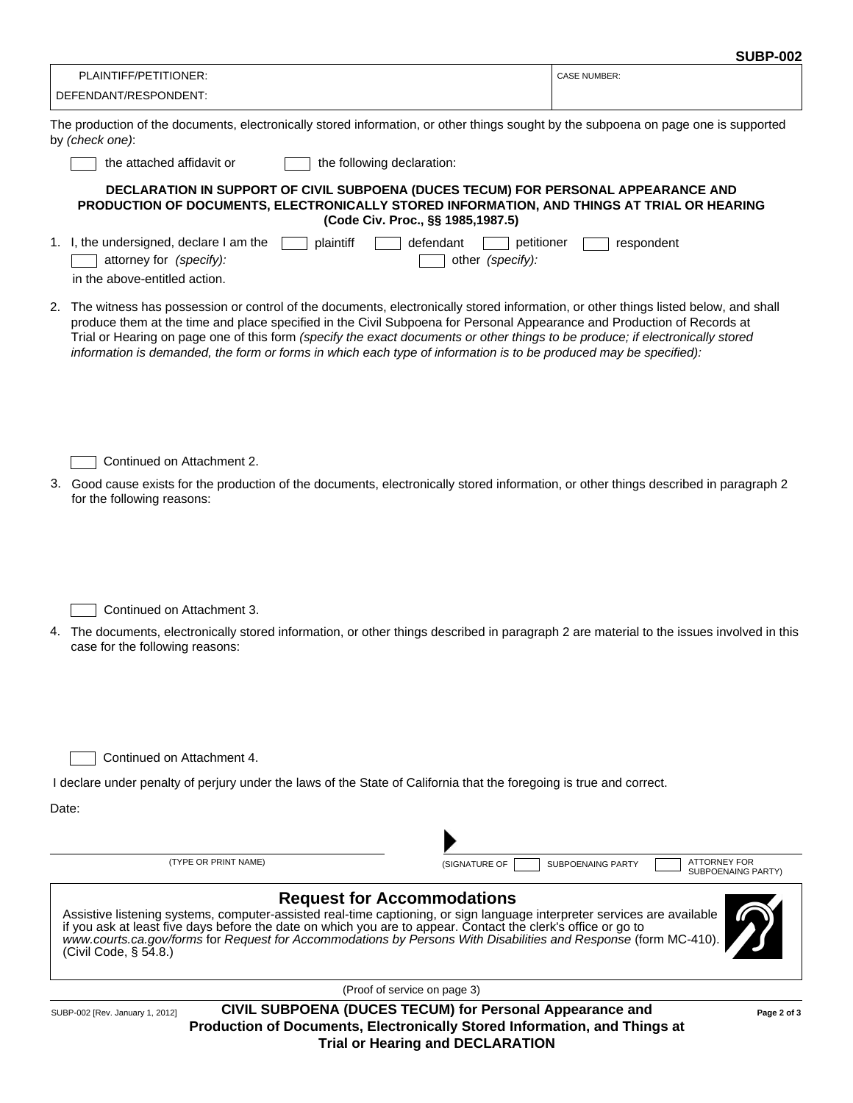| PLAINTIFF/PETITIONER:                                                                                                               | <b>CASE NUMBER:</b> |
|-------------------------------------------------------------------------------------------------------------------------------------|---------------------|
| DEFENDANT/RESPONDENT:                                                                                                               |                     |
| The production of the documents, electronically stored information, or other things sought by the subpoena on page one is supported |                     |

| The production of the abouthoms, clock onloany stored information, or other things sought by the subposita on page one is supported<br>by (check one):                                                                                                                                                                                                                                                                                                                                                                  |
|-------------------------------------------------------------------------------------------------------------------------------------------------------------------------------------------------------------------------------------------------------------------------------------------------------------------------------------------------------------------------------------------------------------------------------------------------------------------------------------------------------------------------|
| the attached affidavit or<br>the following declaration:                                                                                                                                                                                                                                                                                                                                                                                                                                                                 |
| DECLARATION IN SUPPORT OF CIVIL SUBPOENA (DUCES TECUM) FOR PERSONAL APPEARANCE AND<br>PRODUCTION OF DOCUMENTS, ELECTRONICALLY STORED INFORMATION, AND THINGS AT TRIAL OR HEARING<br>(Code Civ. Proc., §§ 1985,1987.5)                                                                                                                                                                                                                                                                                                   |
| 1. I, the undersigned, declare I am the<br>plaintiff<br>defendant<br>petitioner<br>respondent<br>attorney for (specify):<br>other (specify):<br>in the above-entitled action.                                                                                                                                                                                                                                                                                                                                           |
| 2. The witness has possession or control of the documents, electronically stored information, or other things listed below, and shall<br>produce them at the time and place specified in the Civil Subpoena for Personal Appearance and Production of Records at<br>Trial or Hearing on page one of this form (specify the exact documents or other things to be produce; if electronically stored<br>information is demanded, the form or forms in which each type of information is to be produced may be specified): |
| Continued on Attachment 2.<br>3. Good cause exists for the production of the documents, electronically stored information, or other things described in paragraph 2<br>for the following reasons:                                                                                                                                                                                                                                                                                                                       |
| Continued on Attachment 3.<br>4. The documents, electronically stored information, or other things described in paragraph 2 are material to the issues involved in this<br>case for the following reasons:                                                                                                                                                                                                                                                                                                              |
| Continued on Attachment 4.<br>I declare under penalty of perjury under the laws of the State of California that the foregoing is true and correct.<br>Date:                                                                                                                                                                                                                                                                                                                                                             |
|                                                                                                                                                                                                                                                                                                                                                                                                                                                                                                                         |
| (TYPE OR PRINT NAME)<br><b>ATTORNEY FOR</b><br>(SIGNATURE OF<br>SUBPOENAING PARTY<br><b>SUBPOENAING PARTY)</b>                                                                                                                                                                                                                                                                                                                                                                                                          |
| <b>Request for Accommodations</b><br>Assistive listening systems, computer-assisted real-time captioning, or sign language interpreter services are available<br>if you ask at least five days before the date on which you are to appear. Contact the clerk's office or go to<br>www.courts.ca.gov/forms for Request for Accommodations by Persons With Disabilities and Response (form MC-410)<br>(Civil Code, § 54.8.)                                                                                               |

(Proof of service on page 3)